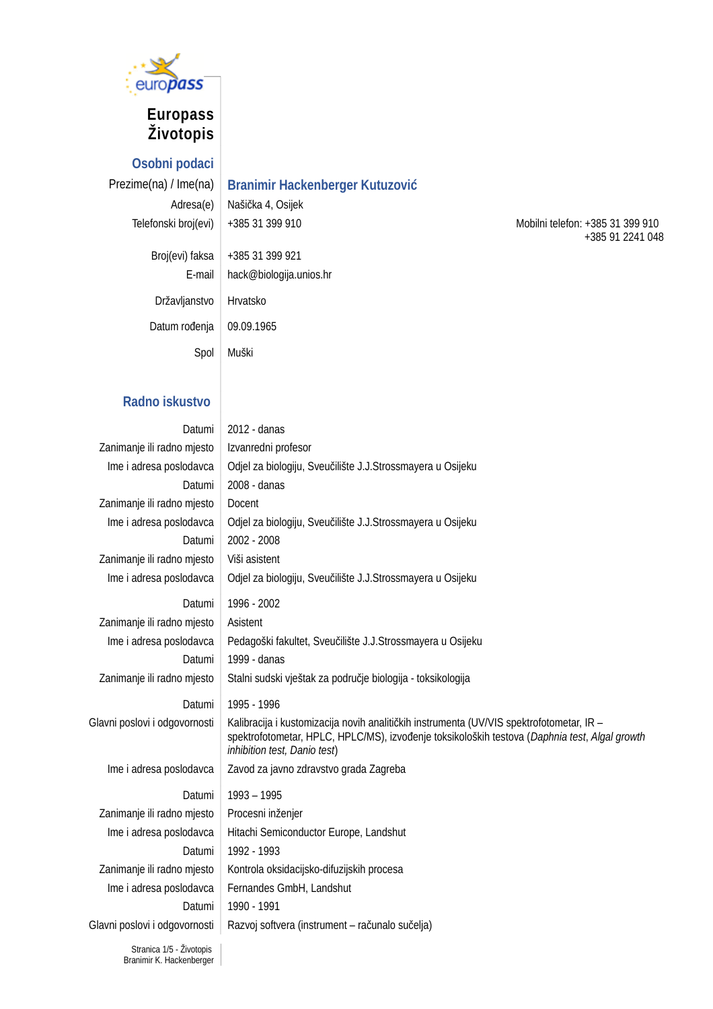

# **Europass Životopis**

**Osobni podaci**

# Prezime(na) / Ime(na) **Branimir Hackenberger Kutuzović**

Adresa(e) Našička 4, Osijek

| Broj(evi) faksa | +385 31 399 921         |
|-----------------|-------------------------|
| E-mail          | hack@biologija.unios.hr |
| Državljanstvo   | Hrvatsko                |
| Datum rođenja   | 09.09.1965              |
| Spol            | Muški                   |

Telefonski broj(evi) | +385 31 399 910 Mobilni telefon: +385 31 399 910 +385 91 2241 048

## **Radno iskustvo**

| Datumi                        | 2012 - danas                                                                                                                                                                                                              |
|-------------------------------|---------------------------------------------------------------------------------------------------------------------------------------------------------------------------------------------------------------------------|
| Zanimanje ili radno mjesto    | Izvanredni profesor                                                                                                                                                                                                       |
| Ime i adresa poslodavca       | Odjel za biologiju, Sveučilište J.J.Strossmayera u Osijeku                                                                                                                                                                |
| Datumi                        | 2008 - danas                                                                                                                                                                                                              |
| Zanimanje ili radno mjesto    | Docent                                                                                                                                                                                                                    |
| Ime i adresa poslodavca       | Odjel za biologiju, Sveučilište J.J.Strossmayera u Osijeku                                                                                                                                                                |
| Datumi                        | 2002 - 2008                                                                                                                                                                                                               |
| Zanimanje ili radno mjesto    | Viši asistent                                                                                                                                                                                                             |
| Ime i adresa poslodavca       | Odjel za biologiju, Sveučilište J.J.Strossmayera u Osijeku                                                                                                                                                                |
| Datumi                        | 1996 - 2002                                                                                                                                                                                                               |
| Zanimanje ili radno mjesto    | Asistent                                                                                                                                                                                                                  |
| Ime i adresa poslodavca       | Pedagoški fakultet, Sveučilište J.J.Strossmayera u Osijeku                                                                                                                                                                |
| Datumi                        | 1999 - danas                                                                                                                                                                                                              |
| Zanimanje ili radno mjesto    | Stalni sudski vještak za područje biologija - toksikologija                                                                                                                                                               |
|                               |                                                                                                                                                                                                                           |
| Datumi                        | 1995 - 1996                                                                                                                                                                                                               |
| Glavni poslovi i odgovornosti | Kalibracija i kustomizacija novih analitičkih instrumenta (UV/VIS spektrofotometar, IR -<br>spektrofotometar, HPLC, HPLC/MS), izvođenje toksikoloških testova (Daphnia test, Algal growth<br>inhibition test, Danio test) |
| Ime i adresa poslodavca       | Zavod za javno zdravstvo grada Zagreba                                                                                                                                                                                    |
| Datumi                        | $1993 - 1995$                                                                                                                                                                                                             |
| Zanimanje ili radno mjesto    | Procesni inženjer                                                                                                                                                                                                         |
| Ime i adresa poslodavca       | Hitachi Semiconductor Europe, Landshut                                                                                                                                                                                    |
| Datumi                        | 1992 - 1993                                                                                                                                                                                                               |
| Zanimanje ili radno mjesto    | Kontrola oksidacijsko-difuzijskih procesa                                                                                                                                                                                 |
| Ime i adresa poslodavca       | Fernandes GmbH, Landshut                                                                                                                                                                                                  |
| Datumi                        | 1990 - 1991                                                                                                                                                                                                               |
| Glavni poslovi i odgovornosti | Razvoj softvera (instrument - računalo sučelja)                                                                                                                                                                           |
|                               |                                                                                                                                                                                                                           |

Stranica 1/5 - Životopis Branimir K. Hackenberger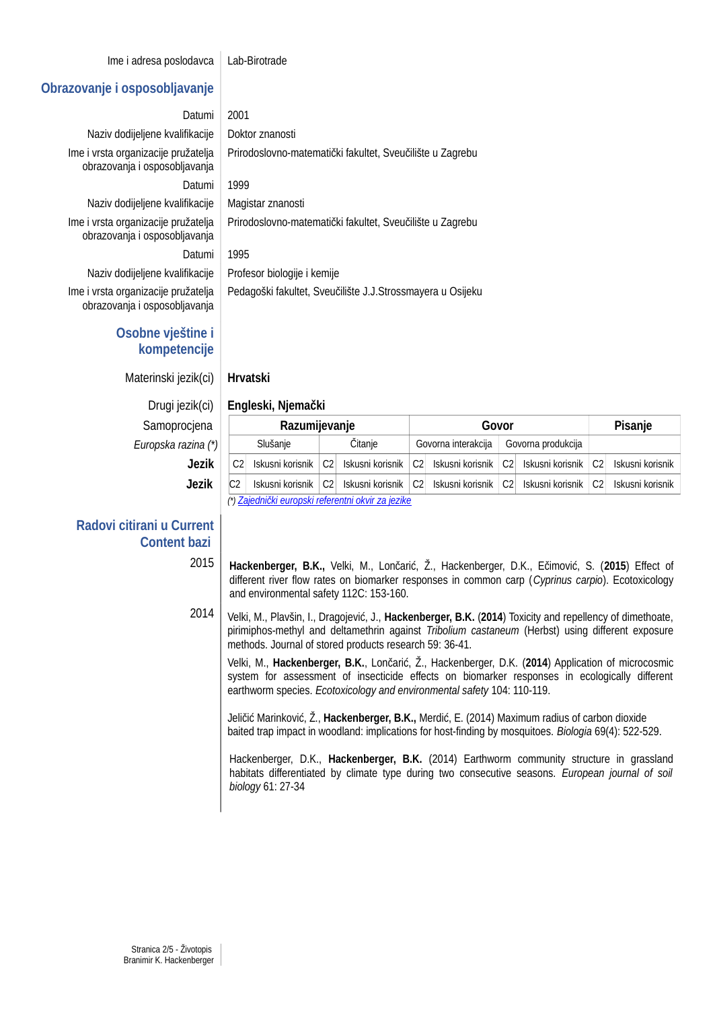Ime i adresa poslodavca Lab-Birotrade

#### **Obrazovanje i osposobljavanje**

Datumi 2001

Naziv dodijeljene kvalifikacije | Doktor znanosti Ime i vrsta organizacije pružatelja obrazovanja i osposobljavanja Datumi 1999

Naziv dodijeljene kvalifikacije | Magistar znanosti

Ime i vrsta organizacije pružatelja obrazovanja i osposobljavanja Datumi 1995

Naziv dodijeljene kvalifikacije | Profesor biologije i kemije Ime i vrsta organizacije pružatelja obrazovanja i osposobljavanja

## **Osobne vještine i kompetencije**

Materinski jezik(ci) **Hrvatski**

 $Samoprocje<sub>n</sub>$ *Europska razina (\*)* 

## **Radovi citirani u Current Content bazi**

Prirodoslovno-matematički fakultet, Sveučilište u Zagrebu Prirodoslovno-matematički fakultet, Sveučilište u Zagrebu

Pedagoški fakultet, Sveučilište J.J.Strossmayera u Osijeku

#### Drugi jezik(ci) **Engleski, Njemački**

| cjena        |                                                    | Razumijevanje    |    |                  | Govor |                     |    |                    |                | <b>Pisanje</b>   |  |
|--------------|----------------------------------------------------|------------------|----|------------------|-------|---------------------|----|--------------------|----------------|------------------|--|
| zina (*)     |                                                    | Slušanje         |    | Citanie          |       | Govorna interakcija |    | Govorna produkcija |                |                  |  |
| <b>Jezik</b> | C2                                                 | Iskusni korisnik | C2 | Iskusni korisnik | C2    | Iskusni korisnik    | C2 | Iskusni korisnik   | C2             | Iskusni korisnik |  |
| Jezik        | C <sub>2</sub>                                     | Iskusni korisnik | C2 | Iskusni korisnik | C2    | Iskusni korisnik    | C2 | Iskusni korisnik   | C <sub>2</sub> | Iskusni korisnik |  |
|              | (*) Zajednički europski referentni okvir za jezike |                  |    |                  |       |                     |    |                    |                |                  |  |

2015 **Hackenberger, B.K.,** Velki, M., Lončarić, Ž., Hackenberger, D.K., Ečimović, S. (**2015**) Effect of different river flow rates on biomarker responses in common carp (*Cyprinus carpio*). Ecotoxicology and environmental safety 112C: 153-160.

2014 Velki, M., Plavšin, I., Dragojević, J., **Hackenberger, B.K.** (**2014**) Toxicity and repellency of dimethoate, pirimiphos-methyl and deltamethrin against *Tribolium castaneum* (Herbst) using different exposure methods. Journal of stored products research 59: 36-41.

Velki, M., **Hackenberger, B.K.**, Lončarić, Ž., Hackenberger, D.K. (**2014**) Application of microcosmic system for assessment of insecticide effects on biomarker responses in ecologically different earthworm species. *Ecotoxicology and environmental safety* 104: 110-119.

Jeličić Marinković, Ž., **Hackenberger, B.K.,** Merdić, E. (2014) Maximum radius of carbon dioxide baited trap impact in woodland: implications for host-finding by mosquitoes. *Biologia* 69(4): 522-529.

Hackenberger, D.K., **Hackenberger, B.K.** (2014) Earthworm community structure in grassland habitats differentiated by climate type during two consecutive seasons. *European journal of soil biology* 61: 27-34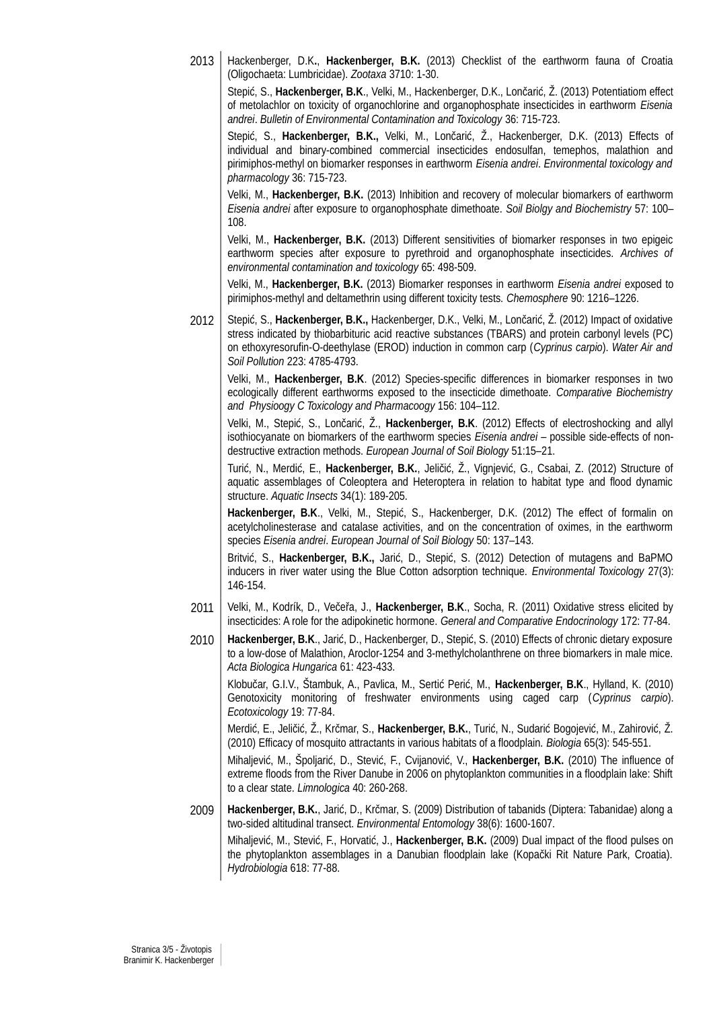2013 Hackenberger, D.K**.**, **Hackenberger, B.K.** (2013) Checklist of the earthworm fauna of Croatia (Oligochaeta: Lumbricidae). *Zootaxa* 3710: 1-30.

Stepić, S., **Hackenberger, B.K**., Velki, M., Hackenberger, D.K., Lončarić, Ž. (2013) Potentiatiom effect of metolachlor on toxicity of organochlorine and organophosphate insecticides in earthworm *Eisenia andrei*. *Bulletin of Environmental Contamination and Toxicology* 36: 715-723.

Stepić, S., **Hackenberger, B.K.,** Velki, M., Lončarić, Ž., Hackenberger, D.K. (2013) Effects of individual and binary-combined commercial insecticides endosulfan, temephos, malathion and pirimiphos-methyl on biomarker responses in earthworm *Eisenia andrei*. *Environmental toxicology and pharmacology* 36: 715-723.

Velki, M., **Hackenberger, B.K.** (2013) Inhibition and recovery of molecular biomarkers of earthworm *Eisenia andrei* after exposure to organophosphate dimethoate. *Soil Biolgy and Biochemistry* 57: 100– 108.

Velki, M., **Hackenberger, B.K.** (2013) Different sensitivities of biomarker responses in two epigeic earthworm species after exposure to pyrethroid and organophosphate insecticides. *Archives of environmental contamination and toxicology* 65: 498-509.

Velki, M., **Hackenberger, B.K.** (2013) Biomarker responses in earthworm *Eisenia andrei* exposed to pirimiphos-methyl and deltamethrin using different toxicity tests. *Chemosphere* 90: 1216–1226.

2012 | Stepić, S., Hackenberger, B.K., Hackenberger, D.K., Velki, M., Lončarić, Ž. (2012) Impact of oxidative stress indicated by thiobarbituric acid reactive substances (TBARS) and protein carbonyl levels (PC) on ethoxyresorufin-O-deethylase (EROD) induction in common carp (*Cyprinus carpio*). *Water Air and Soil Pollution* 223: 4785-4793.

Velki, M., **Hackenberger, B.K**. (2012) Species-specific differences in biomarker responses in two ecologically different earthworms exposed to the insecticide dimethoate. *Comparative Biochemistry and Physioogy C Toxicology and Pharmacoogy* 156: 104–112.

Velki, M., Stepić, S., Lončarić, Ž., **Hackenberger, B.K**. (2012) Effects of electroshocking and allyl isothiocyanate on biomarkers of the earthworm species *Eisenia andrei* – possible side-effects of nondestructive extraction methods. *European Journal of Soil Biology* 51:15–21.

Turić, N., Merdić, E., **Hackenberger, B.K.**, Jeličić, Ž., Vignjević, G., Csabai, Z. (2012) Structure of aquatic assemblages of Coleoptera and Heteroptera in relation to habitat type and flood dynamic structure. *Aquatic Insects* 34(1): 189-205.

**Hackenberger, B.K**., Velki, M., Stepić, S., Hackenberger, D.K. (2012) The effect of formalin on acetylcholinesterase and catalase activities, and on the concentration of oximes, in the earthworm species *Eisenia andrei*. *European Journal of Soil Biology* 50: 137–143.

Britvić, S., **Hackenberger, B.K.,** Jarić, D., Stepić, S. (2012) Detection of mutagens and BaPMO inducers in river water using the Blue Cotton adsorption technique. *Environmental Toxicology* 27(3): 146-154.

- 2011 Velki, M., Kodrík, D., Večeřa, J., **Hackenberger, B.K**., Socha, R. (2011) Oxidative stress elicited by insecticides: A role for the adipokinetic hormone. *General and Comparative Endocrinology* 172: 77-84.
- 2010 **Hackenberger, B.K**., Jarić, D., Hackenberger, D., Stepić, S. (2010) Effects of chronic dietary exposure to a low-dose of Malathion, Aroclor-1254 and 3-methylcholanthrene on three biomarkers in male mice. *Acta Biologica Hungarica* 61: 423-433.

Klobučar, G.I.V., Štambuk, A., Pavlica, M., Sertić Perić, M., **Hackenberger, B.K**., Hylland, K. (2010) Genotoxicity monitoring of freshwater environments using caged carp (*Cyprinus carpio*). *Ecotoxicology* 19: 77-84.

Merdić, E., Jeličić, Ž., Krčmar, S., **Hackenberger, B.K.**, Turić, N., Sudarić Bogojević, M., Zahirović, Ž. (2010) Efficacy of mosquito attractants in various habitats of a floodplain. *Biologia* 65(3): 545-551.

Mihaljević, M., Špoljarić, D., Stević, F., Cvijanović, V., **Hackenberger, B.K.** (2010) The influence of extreme floods from the River Danube in 2006 on phytoplankton communities in a floodplain lake: Shift to a clear state. *Limnologica* 40: 260-268.

2009 **Hackenberger, B.K.**, Jarić, D., Krčmar, S. (2009) Distribution of tabanids (Diptera: Tabanidae) along a two-sided altitudinal transect. *Environmental Entomology* 38(6): 1600-1607. Mihaljević, M., Stević, F., Horvatić, J., **Hackenberger, B.K.** (2009) Dual impact of the flood pulses on

the phytoplankton assemblages in a Danubian floodplain lake (Kopački Rit Nature Park, Croatia). *Hydrobiologia* 618: 77-88.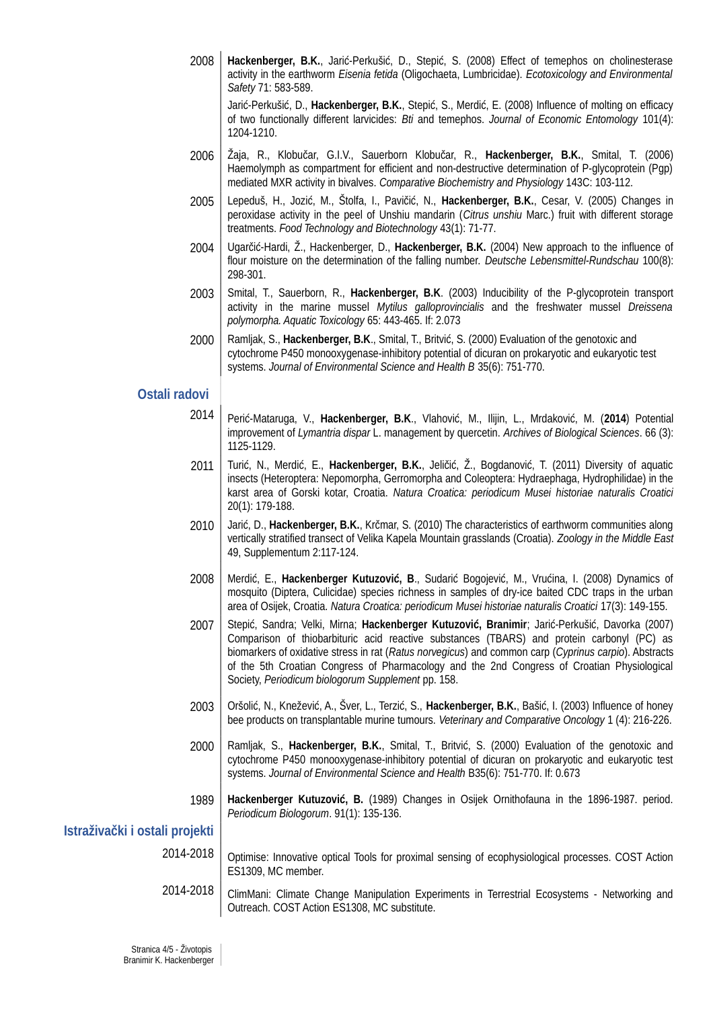2008 **Hackenberger, B.K.**, Jarić-Perkušić, D., Stepić, S. (2008) Effect of temephos on cholinesterase activity in the earthworm *Eisenia fetida* (Oligochaeta, Lumbricidae). *Ecotoxicology and Environmental Safety* 71: 583-589.

Jarić-Perkušić, D., **Hackenberger, B.K.**, Stepić, S., Merdić, E. (2008) Influence of molting on efficacy of two functionally different larvicides: *Bti* and temephos. *Journal of Economic Entomology* 101(4): 1204-1210.

- 2006 Žaja, R., Klobučar, G.I.V., Sauerborn Klobučar, R., **Hackenberger, B.K.**, Smital, T. (2006) Haemolymph as compartment for efficient and non-destructive determination of P-glycoprotein (Pgp) mediated MXR activity in bivalves. *Comparative Biochemistry and Physiology* 143C: 103-112.
- 2005 Lepeduš, H., Jozić, M., Štolfa, I., Pavičić, N., **Hackenberger, B.K.**, Cesar, V. (2005) Changes in peroxidase activity in the peel of Unshiu mandarin (*Citrus unshiu* Marc.) fruit with different storage treatments. *Food Technology and Biotechnology* 43(1): 71-77.
- 2004 Ugarčić-Hardi, Ž., Hackenberger, D., **Hackenberger, B.K.** (2004) New approach to the influence of flour moisture on the determination of the falling number. *Deutsche Lebensmittel-Rundschau* 100(8): 298-301.
- 2003 Smital, T., Sauerborn, R., **Hackenberger, B.K**. (2003) Inducibility of the P-glycoprotein transport activity in the marine mussel *Mytilus galloprovincialis* and the freshwater mussel *Dreissena polymorpha. Aquatic Toxicology* 65: 443-465. If: 2.073
- 2000 Ramljak, S., **Hackenberger, B.K**., Smital, T., Britvić, S. (2000) Evaluation of the genotoxic and cytochrome P450 monooxygenase-inhibitory potential of dicuran on prokaryotic and eukaryotic test systems. *Journal of Environmental Science and Health B* 35(6): 751-770.

### **Ostali radovi**

- 2014 Perić-Mataruga, V., **Hackenberger, B.K**., Vlahović, M., Ilijin, L., Mrdaković, M. (**2014**) Potential improvement of *Lymantria dispar* L. management by quercetin. *Archives of Biological Sciences*. 66 (3): 1125-1129.
- 2011 Turić, N., Merdić, E., **Hackenberger, B.K.**, Jeličić, Ž., Bogdanović, T. (2011) Diversity of aquatic insects (Heteroptera: Nepomorpha, Gerromorpha and Coleoptera: Hydraephaga, Hydrophilidae) in the karst area of Gorski kotar, Croatia. *Natura Croatica: periodicum Musei historiae naturalis Croatici* 20(1): 179-188.
- 2010 Jarić, D., **Hackenberger, B.K.**, Krčmar, S. (2010) The characteristics of earthworm communities along vertically stratified transect of Velika Kapela Mountain grasslands (Croatia). *Zoology in the Middle East* 49, Supplementum 2:117-124.
- 2008 Merdić, E., **Hackenberger Kutuzović, B**., Sudarić Bogojević, M., Vrućina, I. (2008) Dynamics of mosquito (Diptera, Culicidae) species richness in samples of dry-ice baited CDC traps in the urban area of Osijek, Croatia. *Natura Croatica: periodicum Musei historiae naturalis Croatici* 17(3): 149-155.
- 2007 Stepić, Sandra; Velki, Mirna; **Hackenberger Kutuzović, Branimir**; Jarić-Perkušić, Davorka (2007) Comparison of thiobarbituric acid reactive substances (TBARS) and protein carbonyl (PC) as biomarkers of oxidative stress in rat (*Ratus norvegicus*) and common carp (*Cyprinus carpio*). Abstracts of the 5th Croatian Congress of Pharmacology and the 2nd Congress of Croatian Physiological Society, *Periodicum biologorum Supplement* pp. 158.
- 2003 Oršolić, N., Knežević, A., Šver, L., Terzić, S., **Hackenberger, B.K.**, Bašić, I. (2003) Influence of honey bee products on transplantable murine tumours. *Veterinary and Comparative Oncology* 1 (4): 216-226.
- 2000 Ramljak, S., **Hackenberger, B.K.**, Smital, T., Britvić, S. (2000) Evaluation of the genotoxic and cytochrome P450 monooxygenase-inhibitory potential of dicuran on prokaryotic and eukaryotic test systems. *Journal of Environmental Science and Health* B35(6): 751-770. If: 0.673
- 1989 **Hackenberger Kutuzović, B.** (1989) Changes in Osijek Ornithofauna in the 1896-1987. period. *Periodicum Biologorum*. 91(1): 135-136.

**Istraživački i ostali projekti**

- 2014-2018 | Optimise: Innovative optical Tools for proximal sensing of ecophysiological processes. COST Action ES1309, MC member.
- 2014-2018 | ClimMani: Climate Change Manipulation Experiments in Terrestrial Ecosystems Networking and Outreach. COST Action ES1308, MC substitute.